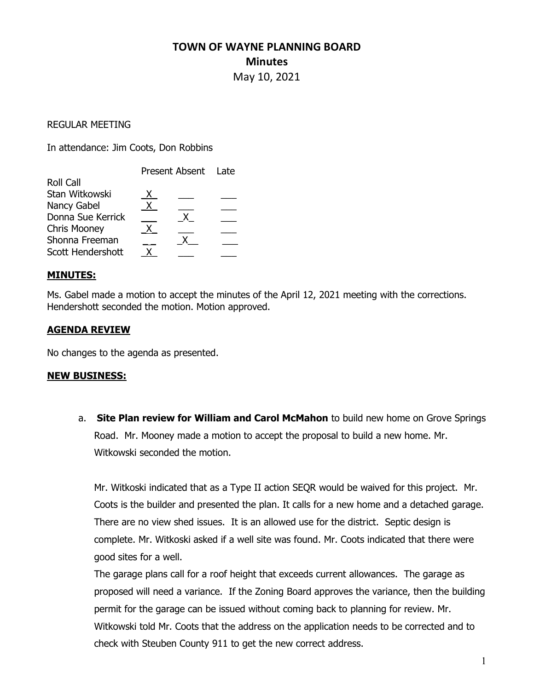# TOWN OF WAYNE PLANNING BOARD **Minutes** May 10, 2021

#### REGULAR MEETING

In attendance: Jim Coots, Don Robbins

|                     | Present Absent Late |  |  |
|---------------------|---------------------|--|--|
| <b>Roll Call</b>    |                     |  |  |
| Stan Witkowski      |                     |  |  |
| Nancy Gabel         |                     |  |  |
| Donna Sue Kerrick   |                     |  |  |
| <b>Chris Mooney</b> |                     |  |  |
| Shonna Freeman      |                     |  |  |
| Scott Hendershott   |                     |  |  |

#### MINUTES:

Ms. Gabel made a motion to accept the minutes of the April 12, 2021 meeting with the corrections. Hendershott seconded the motion. Motion approved.

# AGENDA REVIEW

No changes to the agenda as presented.

#### NEW BUSINESS:

a. Site Plan review for William and Carol McMahon to build new home on Grove Springs Road. Mr. Mooney made a motion to accept the proposal to build a new home. Mr. Witkowski seconded the motion.

Mr. Witkoski indicated that as a Type II action SEQR would be waived for this project. Mr. Coots is the builder and presented the plan. It calls for a new home and a detached garage. There are no view shed issues. It is an allowed use for the district. Septic design is complete. Mr. Witkoski asked if a well site was found. Mr. Coots indicated that there were good sites for a well.

The garage plans call for a roof height that exceeds current allowances. The garage as proposed will need a variance. If the Zoning Board approves the variance, then the building permit for the garage can be issued without coming back to planning for review. Mr. Witkowski told Mr. Coots that the address on the application needs to be corrected and to check with Steuben County 911 to get the new correct address.